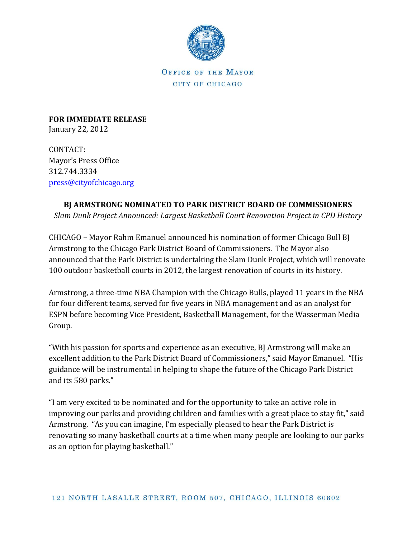

OFFICE OF THE MAYOR CITY OF CHICAGO

**FOR IMMEDIATE RELEASE** January 22, 2012

CONTACT: Mayor's Press Office 312.744.3334 [press@cityofchicago.org](mailto:press@cityofchicago.org)

## **BJ ARMSTRONG NOMINATED TO PARK DISTRICT BOARD OF COMMISSIONERS**

*Slam Dunk Project Announced: Largest Basketball Court Renovation Project in CPD History*

CHICAGO – Mayor Rahm Emanuel announced his nomination of former Chicago Bull BJ Armstrong to the Chicago Park District Board of Commissioners. The Mayor also announced that the Park District is undertaking the Slam Dunk Project, which will renovate 100 outdoor basketball courts in 2012, the largest renovation of courts in its history.

Armstrong, a three-time NBA Champion with the Chicago Bulls, played 11 years in the NBA for four different teams, served for five years in NBA management and as an analyst for ESPN before becoming Vice President, Basketball Management, for the Wasserman Media Group.

"With his passion for sports and experience as an executive, BJ Armstrong will make an excellent addition to the Park District Board of Commissioners," said Mayor Emanuel. "His guidance will be instrumental in helping to shape the future of the Chicago Park District and its 580 parks."

"I am very excited to be nominated and for the opportunity to take an active role in improving our parks and providing children and families with a great place to stay fit," said Armstrong. "As you can imagine, I'm especially pleased to hear the Park District is renovating so many basketball courts at a time when many people are looking to our parks as an option for playing basketball."